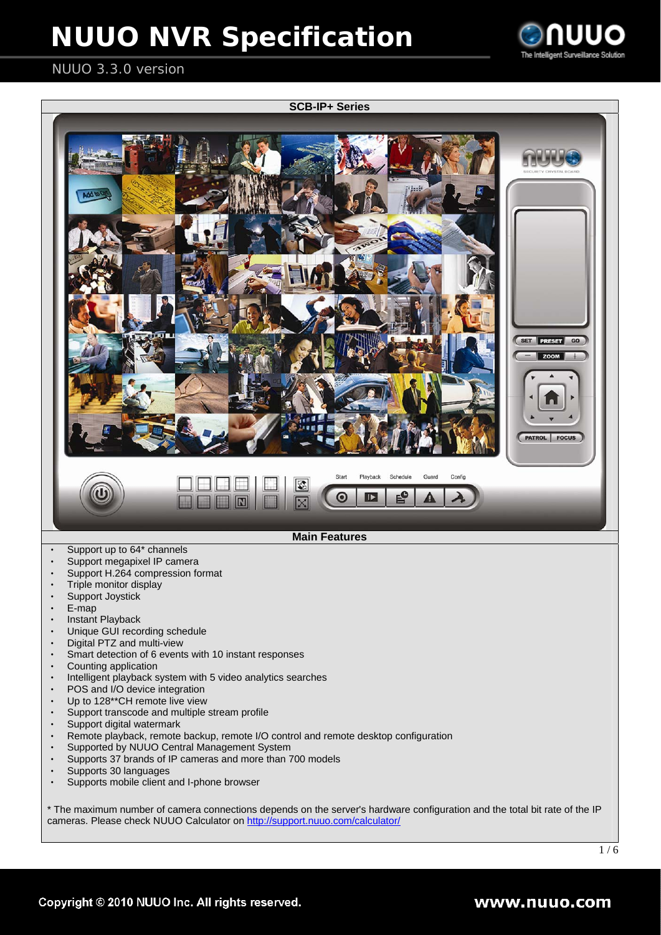

### NUUO 3.3.0 version

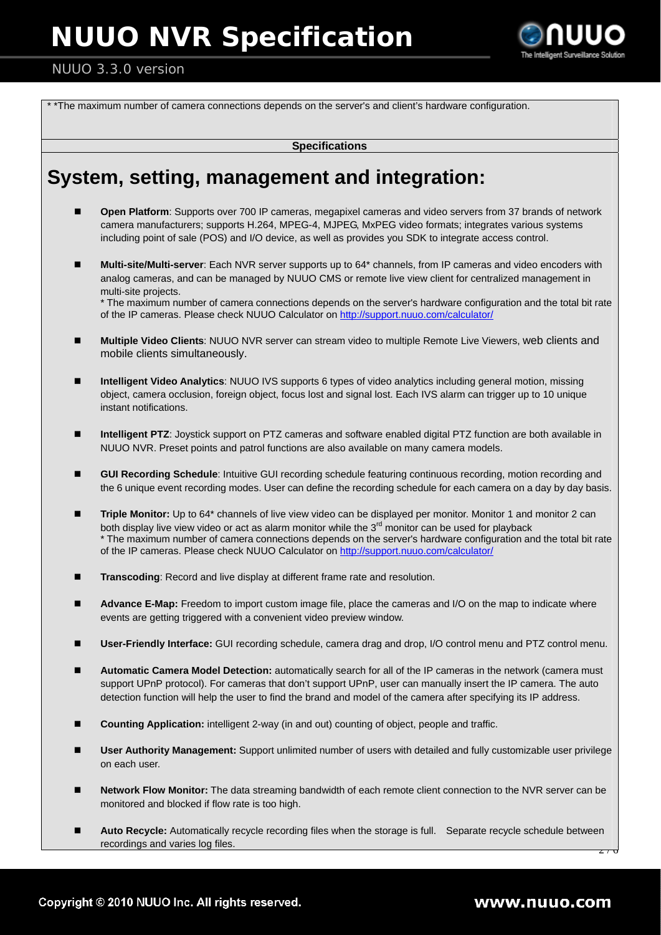

#### NUUO 3.3.0 version

\* \*The maximum number of camera connections depends on the server's and client's hardware configuration.

**Specifications** 

## **System, setting, management and integration:**

- **Open Platform**: Supports over 700 IP cameras, megapixel cameras and video servers from 37 brands of network camera manufacturers; supports H.264, MPEG-4, MJPEG, MxPEG video formats; integrates various systems including point of sale (POS) and I/O device, as well as provides you SDK to integrate access control.
- **Multi-site/Multi-server**: Each NVR server supports up to 64\* channels, from IP cameras and video encoders with analog cameras, and can be managed by NUUO CMS or remote live view client for centralized management in multi-site projects.

\* The maximum number of camera connections depends on the server's hardware configuration and the total bit rate of the IP cameras. Please check NUUO Calculator on http://support.nuuo.com/calculator/

- **Multiple Video Clients**: NUUO NVR server can stream video to multiple Remote Live Viewers, web clients and mobile clients simultaneously.
- **Intelligent Video Analytics**: NUUO IVS supports 6 types of video analytics including general motion, missing object, camera occlusion, foreign object, focus lost and signal lost. Each IVS alarm can trigger up to 10 unique instant notifications.
- **Intelligent PTZ**: Joystick support on PTZ cameras and software enabled digital PTZ function are both available in NUUO NVR. Preset points and patrol functions are also available on many camera models.
- **GUI Recording Schedule**: Intuitive GUI recording schedule featuring continuous recording, motion recording and the 6 unique event recording modes. User can define the recording schedule for each camera on a day by day basis.
- **Triple Monitor:** Up to 64\* channels of live view video can be displayed per monitor. Monitor 1 and monitor 2 can both display live view video or act as alarm monitor while the  $3<sup>rd</sup>$  monitor can be used for playback \* The maximum number of camera connections depends on the server's hardware configuration and the total bit rate of the IP cameras. Please check NUUO Calculator on http://support.nuuo.com/calculator/
- **Transcoding**: Record and live display at different frame rate and resolution.
- **Advance E-Map:** Freedom to import custom image file, place the cameras and I/O on the map to indicate where events are getting triggered with a convenient video preview window.
- **User-Friendly Interface:** GUI recording schedule, camera drag and drop, I/O control menu and PTZ control menu.
- **Automatic Camera Model Detection:** automatically search for all of the IP cameras in the network (camera must support UPnP protocol). For cameras that don't support UPnP, user can manually insert the IP camera. The auto detection function will help the user to find the brand and model of the camera after specifying its IP address.
- **Counting Application:** intelligent 2-way (in and out) counting of object, people and traffic.
- **User Authority Management:** Support unlimited number of users with detailed and fully customizable user privilege on each user.
- **Network Flow Monitor:** The data streaming bandwidth of each remote client connection to the NVR server can be monitored and blocked if flow rate is too high.
- $\overline{z}$  /  $\overline{0}$ ■ Auto Recycle: Automatically recycle recording files when the storage is full. Separate recycle schedule between recordings and varies log files.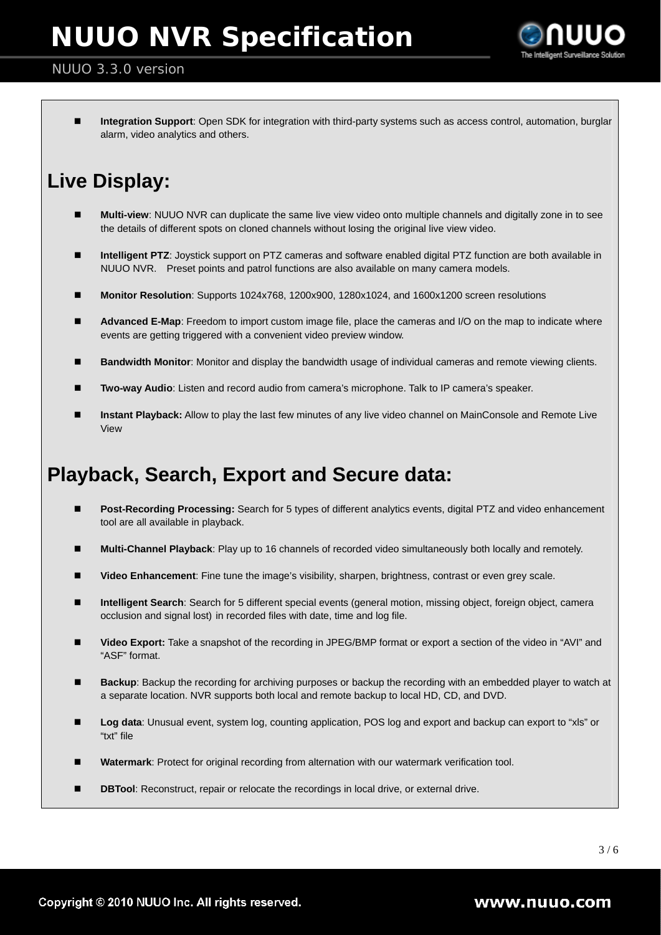

#### NUUO 3.3.0 version

 **Integration Support**: Open SDK for integration with third-party systems such as access control, automation, burglar alarm, video analytics and others.

## **Live Display:**

- **Multi-view**: NUUO NVR can duplicate the same live view video onto multiple channels and digitally zone in to see the details of different spots on cloned channels without losing the original live view video.
- **Intelligent PTZ**: Joystick support on PTZ cameras and software enabled digital PTZ function are both available in NUUO NVR. Preset points and patrol functions are also available on many camera models.
- **Monitor Resolution**: Supports 1024x768, 1200x900, 1280x1024, and 1600x1200 screen resolutions
- **Advanced E-Map**: Freedom to import custom image file, place the cameras and I/O on the map to indicate where events are getting triggered with a convenient video preview window.
- **Bandwidth Monitor**: Monitor and display the bandwidth usage of individual cameras and remote viewing clients.
- **Two-way Audio**: Listen and record audio from camera's microphone. Talk to IP camera's speaker.
- **Instant Playback:** Allow to play the last few minutes of any live video channel on MainConsole and Remote Live View

### **Playback, Search, Export and Secure data:**

- **Post-Recording Processing:** Search for 5 types of different analytics events, digital PTZ and video enhancement tool are all available in playback.
- **Multi-Channel Playback**: Play up to 16 channels of recorded video simultaneously both locally and remotely.
- **Video Enhancement**: Fine tune the image's visibility, sharpen, brightness, contrast or even grey scale.
- **Intelligent Search**: Search for 5 different special events (general motion, missing object, foreign object, camera occlusion and signal lost) in recorded files with date, time and log file.
- **Video Export:** Take a snapshot of the recording in JPEG/BMP format or export a section of the video in "AVI" and "ASF" format.
- **Backup**: Backup the recording for archiving purposes or backup the recording with an embedded player to watch at a separate location. NVR supports both local and remote backup to local HD, CD, and DVD.
- **Log data**: Unusual event, system log, counting application, POS log and export and backup can export to "xls" or "txt" file
- **Watermark**: Protect for original recording from alternation with our watermark verification tool.
- **DBTool**: Reconstruct, repair or relocate the recordings in local drive, or external drive.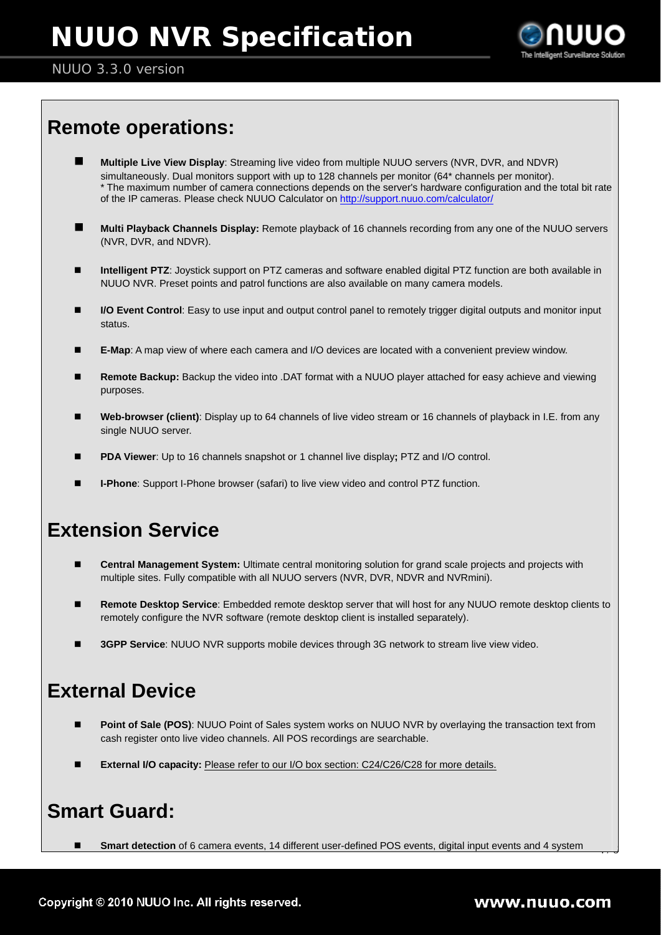

#### NUUO 3.3.0 version

## **Remote operations:**

- **Multiple Live View Display**: Streaming live video from multiple NUUO servers (NVR, DVR, and NDVR) simultaneously. Dual monitors support with up to 128 channels per monitor (64\* channels per monitor). \* The maximum number of camera connections depends on the server's hardware configuration and the total bit rate of the IP cameras. Please check NUUO Calculator on http://support.nuuo.com/calculator/
- **Multi Playback Channels Display:** Remote playback of 16 channels recording from any one of the NUUO servers (NVR, DVR, and NDVR).
- **Intelligent PTZ**: Joystick support on PTZ cameras and software enabled digital PTZ function are both available in NUUO NVR. Preset points and patrol functions are also available on many camera models.
- **I/O Event Control**: Easy to use input and output control panel to remotely trigger digital outputs and monitor input status.
- **E-Map**: A map view of where each camera and I/O devices are located with a convenient preview window.
- **Remote Backup:** Backup the video into .DAT format with a NUUO player attached for easy achieve and viewing purposes.
- **Web-browser (client)**: Display up to 64 channels of live video stream or 16 channels of playback in I.E. from any single NUUO server.
- **PDA Viewer**: Up to 16 channels snapshot or 1 channel live display**;** PTZ and I/O control.
- **I-Phone**: Support I-Phone browser (safari) to live view video and control PTZ function.

## **Extension Service**

- **Central Management System:** Ultimate central monitoring solution for grand scale projects and projects with multiple sites. Fully compatible with all NUUO servers (NVR, DVR, NDVR and NVRmini).
- **Remote Desktop Service**: Embedded remote desktop server that will host for any NUUO remote desktop clients to remotely configure the NVR software (remote desktop client is installed separately).
- **3GPP Service**: NUUO NVR supports mobile devices through 3G network to stream live view video.

### **External Device**

- **Point of Sale (POS)**: NUUO Point of Sales system works on NUUO NVR by overlaying the transaction text from cash register onto live video channels. All POS recordings are searchable.
- **External I/O capacity:** Please refer to our I/O box section: C24/C26/C28 for more details.

### **Smart Guard:**

■ **Smart detection** of 6 camera events, 14 different user-defined POS events, digital input events and 4 system

 $\overline{\phantom{a}}$   $\overline{\phantom{a}}$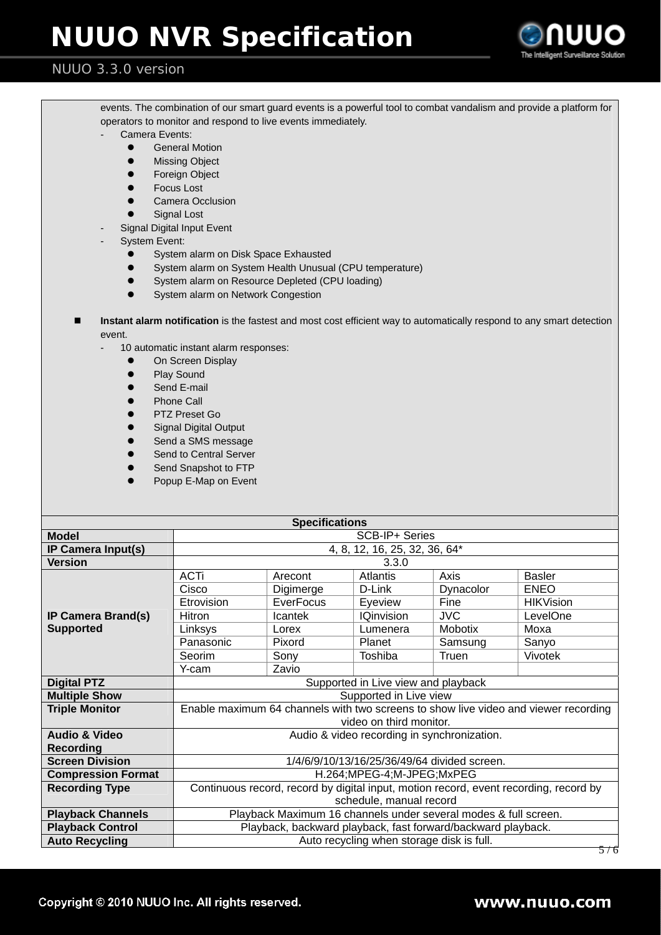

#### NUUO 3.3.0 version

- events. The combination of our smart guard events is a powerful tool to combat vandalism and provide a platform for operators to monitor and respond to live events immediately.
	- Camera Events:
		- **•** General Motion
		- $\bullet$  Missing Object
		- **•** Foreign Object
		- **•** Focus Lost
		- **•** Camera Occlusion
		- **•** Signal Lost
	- Signal Digital Input Event
- System Event:
	- System alarm on Disk Space Exhausted
	- System alarm on System Health Unusual (CPU temperature)
	- System alarm on Resource Depleted (CPU loading)
	- System alarm on Network Congestion
- **Instant alarm notification** is the fastest and most cost efficient way to automatically respond to any smart detection event.
	- 10 automatic instant alarm responses:
		- **•** On Screen Display
		- Play Sound
		- Send E-mail
		- Phone Call
		- PTZ Preset Go
		- **Signal Digital Output**
		- Send a SMS message
		- Send to Central Server
		- Send Snapshot to FTP
		- Popup E-Map on Event

| <b>Specifications</b>                         |                                                                                       |                         |                   |                |                  |  |  |  |
|-----------------------------------------------|---------------------------------------------------------------------------------------|-------------------------|-------------------|----------------|------------------|--|--|--|
| <b>Model</b>                                  | SCB-IP+ Series                                                                        |                         |                   |                |                  |  |  |  |
| IP Camera Input(s)                            | 4, 8, 12, 16, 25, 32, 36, 64*                                                         |                         |                   |                |                  |  |  |  |
| <b>Version</b>                                | 3.3.0                                                                                 |                         |                   |                |                  |  |  |  |
| <b>IP Camera Brand(s)</b><br><b>Supported</b> | <b>ACTi</b>                                                                           | Arecont                 | Atlantis          | Axis           | <b>Basler</b>    |  |  |  |
|                                               | Cisco                                                                                 | Digimerge               | D-Link            | Dynacolor      | <b>ENEO</b>      |  |  |  |
|                                               | Etrovision                                                                            | <b>EverFocus</b>        | Eyeview           | Fine           | <b>HIKVision</b> |  |  |  |
|                                               | Hitron                                                                                | Icantek                 | <b>IQinvision</b> | <b>JVC</b>     | LevelOne         |  |  |  |
|                                               | Linksys                                                                               | Lorex                   | Lumenera          | <b>Mobotix</b> | Moxa             |  |  |  |
|                                               | Panasonic                                                                             | Pixord                  | Planet            | Samsung        | Sanyo            |  |  |  |
|                                               | Seorim                                                                                | Sony                    | Toshiba           | Truen          | Vivotek          |  |  |  |
|                                               | Y-cam                                                                                 | Zavio                   |                   |                |                  |  |  |  |
| <b>Digital PTZ</b>                            | Supported in Live view and playback                                                   |                         |                   |                |                  |  |  |  |
| <b>Multiple Show</b>                          | Supported in Live view                                                                |                         |                   |                |                  |  |  |  |
| <b>Triple Monitor</b>                         | Enable maximum 64 channels with two screens to show live video and viewer recording   |                         |                   |                |                  |  |  |  |
|                                               | video on third monitor.                                                               |                         |                   |                |                  |  |  |  |
| <b>Audio &amp; Video</b>                      | Audio & video recording in synchronization.                                           |                         |                   |                |                  |  |  |  |
| <b>Recording</b>                              |                                                                                       |                         |                   |                |                  |  |  |  |
| <b>Screen Division</b>                        | 1/4/6/9/10/13/16/25/36/49/64 divided screen.                                          |                         |                   |                |                  |  |  |  |
| <b>Compression Format</b>                     | H.264;MPEG-4;M-JPEG;MxPEG                                                             |                         |                   |                |                  |  |  |  |
| <b>Recording Type</b>                         | Continuous record, record by digital input, motion record, event recording, record by |                         |                   |                |                  |  |  |  |
|                                               |                                                                                       | schedule, manual record |                   |                |                  |  |  |  |
| <b>Playback Channels</b>                      | Playback Maximum 16 channels under several modes & full screen.                       |                         |                   |                |                  |  |  |  |
| <b>Playback Control</b>                       | Playback, backward playback, fast forward/backward playback.                          |                         |                   |                |                  |  |  |  |
| <b>Auto Recycling</b>                         | Auto recycling when storage disk is full.                                             |                         |                   |                |                  |  |  |  |
|                                               |                                                                                       |                         |                   |                | 576              |  |  |  |